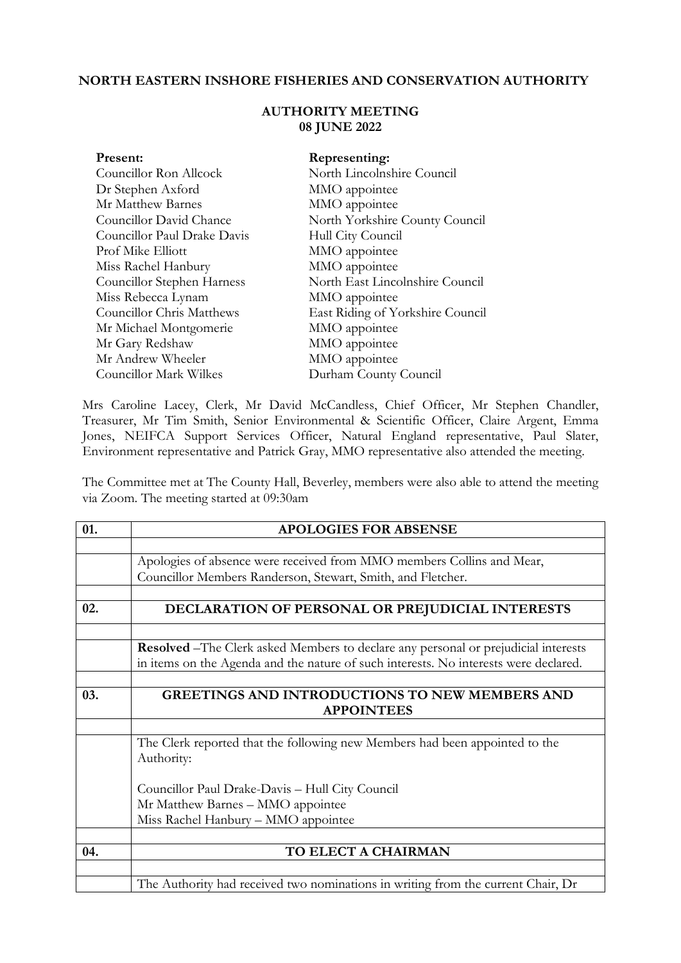## **NORTH EASTERN INSHORE FISHERIES AND CONSERVATION AUTHORITY**

## **AUTHORITY MEETING 08 JUNE 2022**

| Present:                    | Representing:                    |
|-----------------------------|----------------------------------|
| Councillor Ron Allcock      | North Lincolnshire Council       |
| Dr Stephen Axford           | MMO appointee                    |
| Mr Matthew Barnes           | MMO appointee                    |
| Councillor David Chance     | North Yorkshire County Council   |
| Councillor Paul Drake Davis | Hull City Council                |
| Prof Mike Elliott           | MMO appointee                    |
| Miss Rachel Hanbury         | MMO appointee                    |
| Councillor Stephen Harness  | North East Lincolnshire Council  |
| Miss Rebecca Lynam          | MMO appointee                    |
| Councillor Chris Matthews   | East Riding of Yorkshire Council |
| Mr Michael Montgomerie      | MMO appointee                    |
| Mr Gary Redshaw             | MMO appointee                    |
| Mr Andrew Wheeler           | MMO appointee                    |
| Councillor Mark Wilkes      | Durham County Council            |

Mrs Caroline Lacey, Clerk, Mr David McCandless, Chief Officer, Mr Stephen Chandler, Treasurer, Mr Tim Smith, Senior Environmental & Scientific Officer, Claire Argent, Emma Jones, NEIFCA Support Services Officer, Natural England representative, Paul Slater, Environment representative and Patrick Gray, MMO representative also attended the meeting.

The Committee met at The County Hall, Beverley, members were also able to attend the meeting via Zoom. The meeting started at 09:30am

| 01. | <b>APOLOGIES FOR ABSENSE</b>                                                         |
|-----|--------------------------------------------------------------------------------------|
|     |                                                                                      |
|     | Apologies of absence were received from MMO members Collins and Mear,                |
|     | Councillor Members Randerson, Stewart, Smith, and Fletcher.                          |
|     |                                                                                      |
| 02. | DECLARATION OF PERSONAL OR PREJUDICIAL INTERESTS                                     |
|     |                                                                                      |
|     | Resolved - The Clerk asked Members to declare any personal or prejudicial interests  |
|     | in items on the Agenda and the nature of such interests. No interests were declared. |
|     |                                                                                      |
| 03. | <b>GREETINGS AND INTRODUCTIONS TO NEW MEMBERS AND</b>                                |
|     | <b>APPOINTEES</b>                                                                    |
|     |                                                                                      |
|     | The Clerk reported that the following new Members had been appointed to the          |
|     | Authority:                                                                           |
|     |                                                                                      |
|     | Councillor Paul Drake-Davis - Hull City Council                                      |
|     | Mr Matthew Barnes - MMO appointee                                                    |
|     | Miss Rachel Hanbury - MMO appointee                                                  |
|     |                                                                                      |
| 04. | TO ELECT A CHAIRMAN                                                                  |
|     |                                                                                      |
|     | The Authority had received two nominations in writing from the current Chair, Dr     |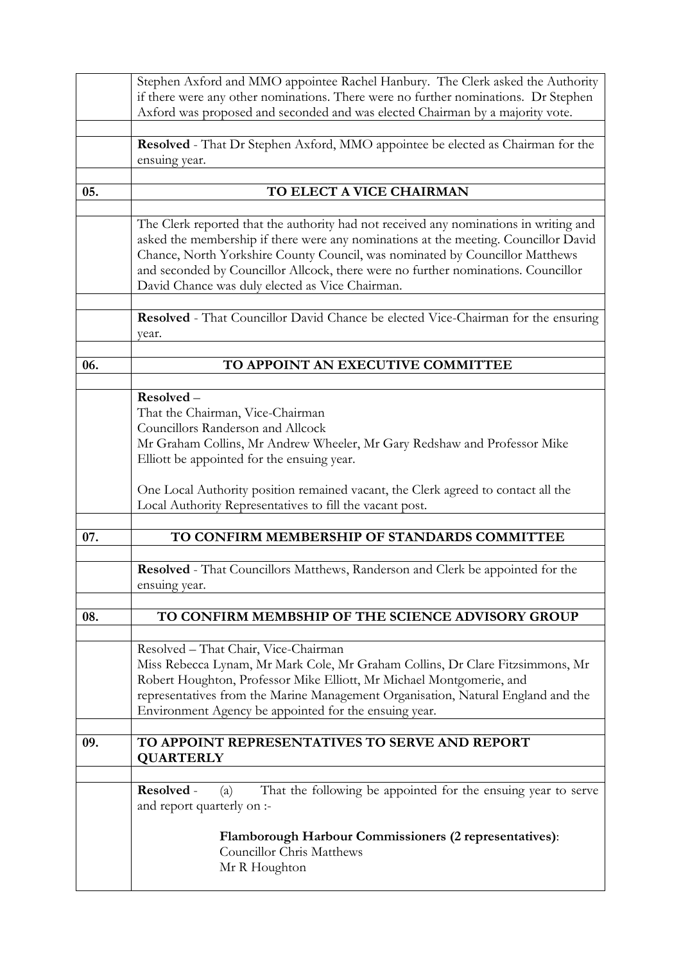|     | Stephen Axford and MMO appointee Rachel Hanbury. The Clerk asked the Authority                                                                                                                                                                                                                                                                                                                       |
|-----|------------------------------------------------------------------------------------------------------------------------------------------------------------------------------------------------------------------------------------------------------------------------------------------------------------------------------------------------------------------------------------------------------|
|     | if there were any other nominations. There were no further nominations. Dr Stephen                                                                                                                                                                                                                                                                                                                   |
|     | Axford was proposed and seconded and was elected Chairman by a majority vote.                                                                                                                                                                                                                                                                                                                        |
|     |                                                                                                                                                                                                                                                                                                                                                                                                      |
|     | Resolved - That Dr Stephen Axford, MMO appointee be elected as Chairman for the<br>ensuing year.                                                                                                                                                                                                                                                                                                     |
|     |                                                                                                                                                                                                                                                                                                                                                                                                      |
| 05. | TO ELECT A VICE CHAIRMAN                                                                                                                                                                                                                                                                                                                                                                             |
|     |                                                                                                                                                                                                                                                                                                                                                                                                      |
|     | The Clerk reported that the authority had not received any nominations in writing and<br>asked the membership if there were any nominations at the meeting. Councillor David<br>Chance, North Yorkshire County Council, was nominated by Councillor Matthews<br>and seconded by Councillor Allcock, there were no further nominations. Councillor<br>David Chance was duly elected as Vice Chairman. |
|     | Resolved - That Councillor David Chance be elected Vice-Chairman for the ensuring<br>year.                                                                                                                                                                                                                                                                                                           |
|     |                                                                                                                                                                                                                                                                                                                                                                                                      |
| 06. | TO APPOINT AN EXECUTIVE COMMITTEE                                                                                                                                                                                                                                                                                                                                                                    |
|     | Resolved-                                                                                                                                                                                                                                                                                                                                                                                            |
|     | That the Chairman, Vice-Chairman                                                                                                                                                                                                                                                                                                                                                                     |
|     | Councillors Randerson and Allcock                                                                                                                                                                                                                                                                                                                                                                    |
|     | Mr Graham Collins, Mr Andrew Wheeler, Mr Gary Redshaw and Professor Mike                                                                                                                                                                                                                                                                                                                             |
|     | Elliott be appointed for the ensuing year.                                                                                                                                                                                                                                                                                                                                                           |
|     |                                                                                                                                                                                                                                                                                                                                                                                                      |
|     | One Local Authority position remained vacant, the Clerk agreed to contact all the                                                                                                                                                                                                                                                                                                                    |
|     | Local Authority Representatives to fill the vacant post.                                                                                                                                                                                                                                                                                                                                             |
|     |                                                                                                                                                                                                                                                                                                                                                                                                      |
| 07. | TO CONFIRM MEMBERSHIP OF STANDARDS COMMITTEE                                                                                                                                                                                                                                                                                                                                                         |
|     | Resolved - That Councillors Matthews, Randerson and Clerk be appointed for the                                                                                                                                                                                                                                                                                                                       |
|     | ensuing year.                                                                                                                                                                                                                                                                                                                                                                                        |
|     |                                                                                                                                                                                                                                                                                                                                                                                                      |
| 08. | TO CONFIRM MEMBSHIP OF THE SCIENCE ADVISORY GROUP                                                                                                                                                                                                                                                                                                                                                    |
|     |                                                                                                                                                                                                                                                                                                                                                                                                      |
|     | Resolved - That Chair, Vice-Chairman                                                                                                                                                                                                                                                                                                                                                                 |
|     | Miss Rebecca Lynam, Mr Mark Cole, Mr Graham Collins, Dr Clare Fitzsimmons, Mr                                                                                                                                                                                                                                                                                                                        |
|     | Robert Houghton, Professor Mike Elliott, Mr Michael Montgomerie, and                                                                                                                                                                                                                                                                                                                                 |
|     | representatives from the Marine Management Organisation, Natural England and the                                                                                                                                                                                                                                                                                                                     |
|     | Environment Agency be appointed for the ensuing year.                                                                                                                                                                                                                                                                                                                                                |
| 09. | TO APPOINT REPRESENTATIVES TO SERVE AND REPORT                                                                                                                                                                                                                                                                                                                                                       |
|     | <b>QUARTERLY</b>                                                                                                                                                                                                                                                                                                                                                                                     |
|     |                                                                                                                                                                                                                                                                                                                                                                                                      |
|     | That the following be appointed for the ensuing year to serve<br>Resolved -<br>(a)<br>and report quarterly on :-                                                                                                                                                                                                                                                                                     |
|     |                                                                                                                                                                                                                                                                                                                                                                                                      |
|     | <b>Flamborough Harbour Commissioners (2 representatives):</b><br><b>Councillor Chris Matthews</b>                                                                                                                                                                                                                                                                                                    |
|     | Mr R Houghton                                                                                                                                                                                                                                                                                                                                                                                        |
|     |                                                                                                                                                                                                                                                                                                                                                                                                      |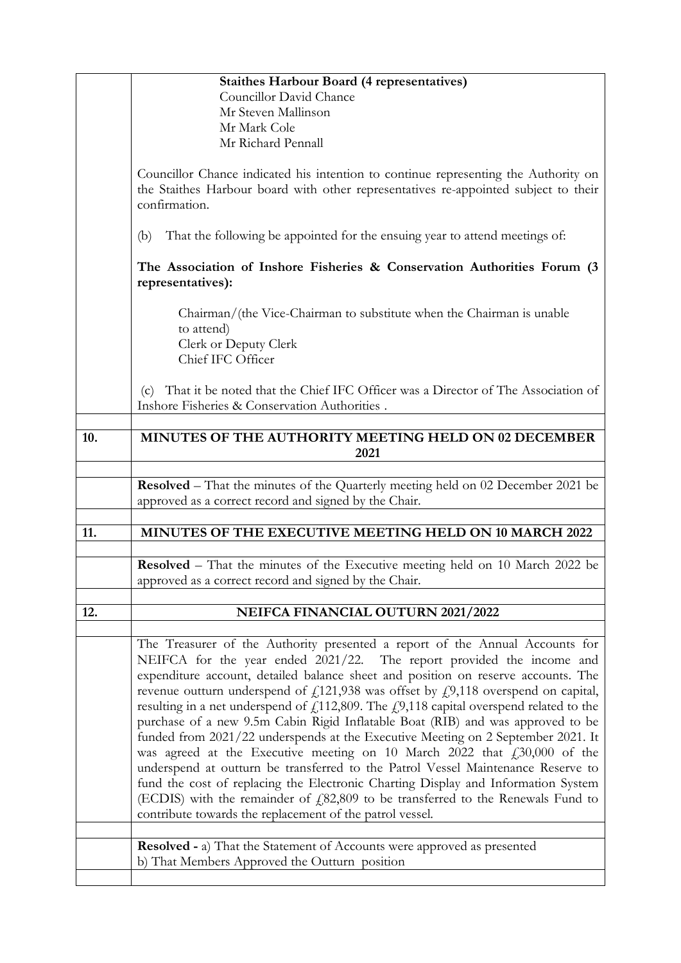|     | <b>Staithes Harbour Board (4 representatives)</b><br>Councillor David Chance<br>Mr Steven Mallinson                                                                                                                                                                                                                                                                                                                                                                                                                                                                                                                                                                                                                                                                                                                                                                                                                                                                                                                          |
|-----|------------------------------------------------------------------------------------------------------------------------------------------------------------------------------------------------------------------------------------------------------------------------------------------------------------------------------------------------------------------------------------------------------------------------------------------------------------------------------------------------------------------------------------------------------------------------------------------------------------------------------------------------------------------------------------------------------------------------------------------------------------------------------------------------------------------------------------------------------------------------------------------------------------------------------------------------------------------------------------------------------------------------------|
|     | Mr Mark Cole<br>Mr Richard Pennall                                                                                                                                                                                                                                                                                                                                                                                                                                                                                                                                                                                                                                                                                                                                                                                                                                                                                                                                                                                           |
|     | Councillor Chance indicated his intention to continue representing the Authority on<br>the Staithes Harbour board with other representatives re-appointed subject to their<br>confirmation.                                                                                                                                                                                                                                                                                                                                                                                                                                                                                                                                                                                                                                                                                                                                                                                                                                  |
|     | That the following be appointed for the ensuing year to attend meetings of:<br>(b)                                                                                                                                                                                                                                                                                                                                                                                                                                                                                                                                                                                                                                                                                                                                                                                                                                                                                                                                           |
|     | The Association of Inshore Fisheries & Conservation Authorities Forum (3)<br>representatives):                                                                                                                                                                                                                                                                                                                                                                                                                                                                                                                                                                                                                                                                                                                                                                                                                                                                                                                               |
|     | Chairman/(the Vice-Chairman to substitute when the Chairman is unable<br>to attend)<br>Clerk or Deputy Clerk<br>Chief IFC Officer                                                                                                                                                                                                                                                                                                                                                                                                                                                                                                                                                                                                                                                                                                                                                                                                                                                                                            |
|     | That it be noted that the Chief IFC Officer was a Director of The Association of<br>(c)<br>Inshore Fisheries & Conservation Authorities.                                                                                                                                                                                                                                                                                                                                                                                                                                                                                                                                                                                                                                                                                                                                                                                                                                                                                     |
| 10. | MINUTES OF THE AUTHORITY MEETING HELD ON 02 DECEMBER<br>2021                                                                                                                                                                                                                                                                                                                                                                                                                                                                                                                                                                                                                                                                                                                                                                                                                                                                                                                                                                 |
|     | <b>Resolved</b> – That the minutes of the Quarterly meeting held on 02 December 2021 be<br>approved as a correct record and signed by the Chair.                                                                                                                                                                                                                                                                                                                                                                                                                                                                                                                                                                                                                                                                                                                                                                                                                                                                             |
| 11. | MINUTES OF THE EXECUTIVE MEETING HELD ON 10 MARCH 2022                                                                                                                                                                                                                                                                                                                                                                                                                                                                                                                                                                                                                                                                                                                                                                                                                                                                                                                                                                       |
|     | <b>Resolved</b> – That the minutes of the Executive meeting held on 10 March 2022 be<br>approved as a correct record and signed by the Chair.                                                                                                                                                                                                                                                                                                                                                                                                                                                                                                                                                                                                                                                                                                                                                                                                                                                                                |
| 12. | NEIFCA FINANCIAL OUTURN 2021/2022                                                                                                                                                                                                                                                                                                                                                                                                                                                                                                                                                                                                                                                                                                                                                                                                                                                                                                                                                                                            |
|     | The Treasurer of the Authority presented a report of the Annual Accounts for<br>NEIFCA for the year ended 2021/22. The report provided the income and<br>expenditure account, detailed balance sheet and position on reserve accounts. The<br>revenue outturn underspend of $f_{121,938}$ was offset by $f_{21,118}$ overspend on capital,<br>resulting in a net underspend of $f$ 112,809. The $f$ 9,118 capital overspend related to the<br>purchase of a new 9.5m Cabin Rigid Inflatable Boat (RIB) and was approved to be<br>funded from 2021/22 underspends at the Executive Meeting on 2 September 2021. It<br>was agreed at the Executive meeting on 10 March 2022 that $fz30,000$ of the<br>underspend at outturn be transferred to the Patrol Vessel Maintenance Reserve to<br>fund the cost of replacing the Electronic Charting Display and Information System<br>(ECDIS) with the remainder of $f(82,809)$ to be transferred to the Renewals Fund to<br>contribute towards the replacement of the patrol vessel. |
|     | <b>Resolved - a)</b> That the Statement of Accounts were approved as presented<br>b) That Members Approved the Outturn position                                                                                                                                                                                                                                                                                                                                                                                                                                                                                                                                                                                                                                                                                                                                                                                                                                                                                              |
|     |                                                                                                                                                                                                                                                                                                                                                                                                                                                                                                                                                                                                                                                                                                                                                                                                                                                                                                                                                                                                                              |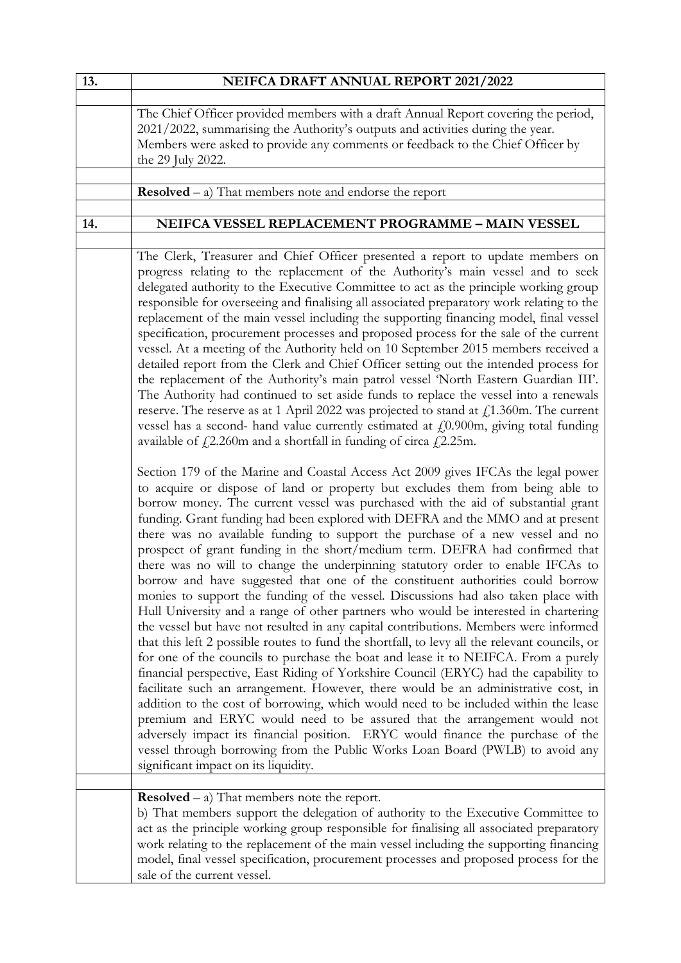| 13. | NEIFCA DRAFT ANNUAL REPORT 2021/2022                                                                                                                                                                                                                                                                                                                                                                                                                                                                                                                                                                                                                                                                                                                                                                                                                                                                                                                                                                                                                                                                                                                                                                                                                                                                                                                                                                                                                                                                                                                                                                                                                                                                                                                                                                                                                                                                                                                                                                                                                                                                                                                                                                                                                                                                                                                                                                                                                                                                                                                                                                                                                                                                                                                                                                                                                                                        |
|-----|---------------------------------------------------------------------------------------------------------------------------------------------------------------------------------------------------------------------------------------------------------------------------------------------------------------------------------------------------------------------------------------------------------------------------------------------------------------------------------------------------------------------------------------------------------------------------------------------------------------------------------------------------------------------------------------------------------------------------------------------------------------------------------------------------------------------------------------------------------------------------------------------------------------------------------------------------------------------------------------------------------------------------------------------------------------------------------------------------------------------------------------------------------------------------------------------------------------------------------------------------------------------------------------------------------------------------------------------------------------------------------------------------------------------------------------------------------------------------------------------------------------------------------------------------------------------------------------------------------------------------------------------------------------------------------------------------------------------------------------------------------------------------------------------------------------------------------------------------------------------------------------------------------------------------------------------------------------------------------------------------------------------------------------------------------------------------------------------------------------------------------------------------------------------------------------------------------------------------------------------------------------------------------------------------------------------------------------------------------------------------------------------------------------------------------------------------------------------------------------------------------------------------------------------------------------------------------------------------------------------------------------------------------------------------------------------------------------------------------------------------------------------------------------------------------------------------------------------------------------------------------------------|
|     | The Chief Officer provided members with a draft Annual Report covering the period,<br>2021/2022, summarising the Authority's outputs and activities during the year.<br>Members were asked to provide any comments or feedback to the Chief Officer by<br>the 29 July 2022.                                                                                                                                                                                                                                                                                                                                                                                                                                                                                                                                                                                                                                                                                                                                                                                                                                                                                                                                                                                                                                                                                                                                                                                                                                                                                                                                                                                                                                                                                                                                                                                                                                                                                                                                                                                                                                                                                                                                                                                                                                                                                                                                                                                                                                                                                                                                                                                                                                                                                                                                                                                                                 |
|     | <b>Resolved</b> $-$ a) That members note and endorse the report                                                                                                                                                                                                                                                                                                                                                                                                                                                                                                                                                                                                                                                                                                                                                                                                                                                                                                                                                                                                                                                                                                                                                                                                                                                                                                                                                                                                                                                                                                                                                                                                                                                                                                                                                                                                                                                                                                                                                                                                                                                                                                                                                                                                                                                                                                                                                                                                                                                                                                                                                                                                                                                                                                                                                                                                                             |
|     |                                                                                                                                                                                                                                                                                                                                                                                                                                                                                                                                                                                                                                                                                                                                                                                                                                                                                                                                                                                                                                                                                                                                                                                                                                                                                                                                                                                                                                                                                                                                                                                                                                                                                                                                                                                                                                                                                                                                                                                                                                                                                                                                                                                                                                                                                                                                                                                                                                                                                                                                                                                                                                                                                                                                                                                                                                                                                             |
| 14. | NEIFCA VESSEL REPLACEMENT PROGRAMME - MAIN VESSEL                                                                                                                                                                                                                                                                                                                                                                                                                                                                                                                                                                                                                                                                                                                                                                                                                                                                                                                                                                                                                                                                                                                                                                                                                                                                                                                                                                                                                                                                                                                                                                                                                                                                                                                                                                                                                                                                                                                                                                                                                                                                                                                                                                                                                                                                                                                                                                                                                                                                                                                                                                                                                                                                                                                                                                                                                                           |
|     | The Clerk, Treasurer and Chief Officer presented a report to update members on<br>progress relating to the replacement of the Authority's main vessel and to seek<br>delegated authority to the Executive Committee to act as the principle working group<br>responsible for overseeing and finalising all associated preparatory work relating to the<br>replacement of the main vessel including the supporting financing model, final vessel<br>specification, procurement processes and proposed process for the sale of the current<br>vessel. At a meeting of the Authority held on 10 September 2015 members received a<br>detailed report from the Clerk and Chief Officer setting out the intended process for<br>the replacement of the Authority's main patrol vessel 'North Eastern Guardian III'.<br>The Authority had continued to set aside funds to replace the vessel into a renewals<br>reserve. The reserve as at 1 April 2022 was projected to stand at $f11.360$ m. The current<br>vessel has a second- hand value currently estimated at $f(0.900m)$ , giving total funding<br>available of $f_1$ 2.260m and a shortfall in funding of circa $f_1$ 2.25m.<br>Section 179 of the Marine and Coastal Access Act 2009 gives IFCAs the legal power<br>to acquire or dispose of land or property but excludes them from being able to<br>borrow money. The current vessel was purchased with the aid of substantial grant<br>funding. Grant funding had been explored with DEFRA and the MMO and at present<br>there was no available funding to support the purchase of a new vessel and no<br>prospect of grant funding in the short/medium term. DEFRA had confirmed that<br>there was no will to change the underpinning statutory order to enable IFCAs to<br>borrow and have suggested that one of the constituent authorities could borrow<br>monies to support the funding of the vessel. Discussions had also taken place with<br>Hull University and a range of other partners who would be interested in chartering<br>the vessel but have not resulted in any capital contributions. Members were informed<br>that this left 2 possible routes to fund the shortfall, to levy all the relevant councils, or<br>for one of the councils to purchase the boat and lease it to NEIFCA. From a purely<br>financial perspective, East Riding of Yorkshire Council (ERYC) had the capability to<br>facilitate such an arrangement. However, there would be an administrative cost, in<br>addition to the cost of borrowing, which would need to be included within the lease<br>premium and ERYC would need to be assured that the arrangement would not<br>adversely impact its financial position. ERYC would finance the purchase of the<br>vessel through borrowing from the Public Works Loan Board (PWLB) to avoid any<br>significant impact on its liquidity. |
|     | <b>Resolved</b> – a) That members note the report.                                                                                                                                                                                                                                                                                                                                                                                                                                                                                                                                                                                                                                                                                                                                                                                                                                                                                                                                                                                                                                                                                                                                                                                                                                                                                                                                                                                                                                                                                                                                                                                                                                                                                                                                                                                                                                                                                                                                                                                                                                                                                                                                                                                                                                                                                                                                                                                                                                                                                                                                                                                                                                                                                                                                                                                                                                          |
|     | b) That members support the delegation of authority to the Executive Committee to<br>act as the principle working group responsible for finalising all associated preparatory<br>work relating to the replacement of the main vessel including the supporting financing<br>model, final vessel specification, procurement processes and proposed process for the<br>sale of the current vessel.                                                                                                                                                                                                                                                                                                                                                                                                                                                                                                                                                                                                                                                                                                                                                                                                                                                                                                                                                                                                                                                                                                                                                                                                                                                                                                                                                                                                                                                                                                                                                                                                                                                                                                                                                                                                                                                                                                                                                                                                                                                                                                                                                                                                                                                                                                                                                                                                                                                                                             |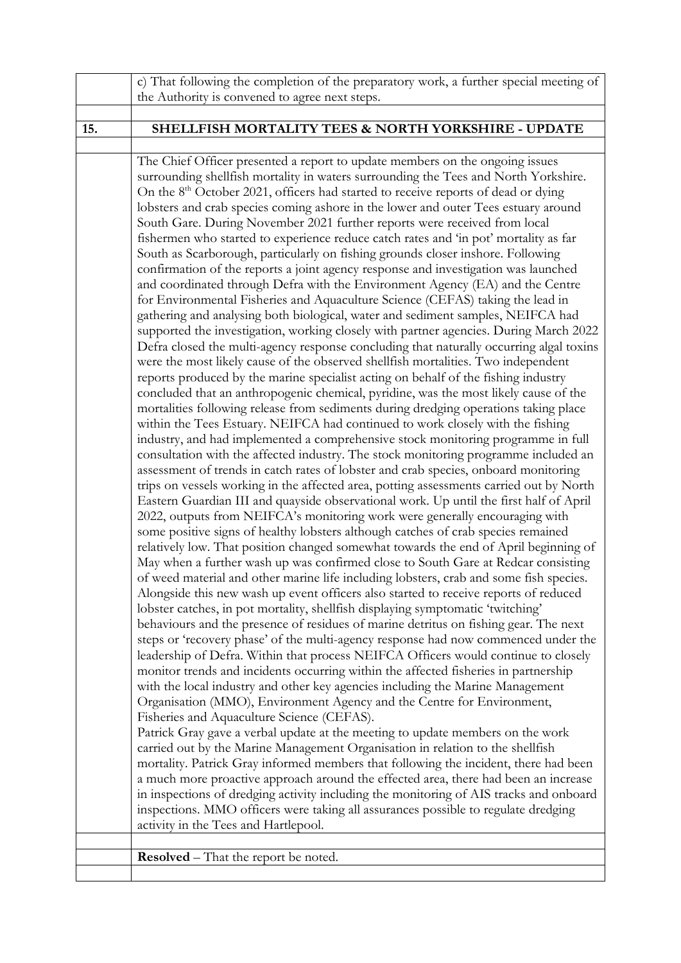|     | c) That following the completion of the preparatory work, a further special meeting of                                                                                                                                                                                                                                                                                                                                                                                                                                                                                                                                                                                                                                                                                                                                                                                                                                                                                                                                                                                                                                                                                                                                                                                                                                                                                                                                                                                                                                                                                                                                                                                                                                                                                                                                                                                                                                                                                                                                                                                                                                                                                                                                                                                                                                                                                                                                                                                                                                                                                                                                                                                                                                                                                                                                                                                                                                                                                                                                                                                                                                    |
|-----|---------------------------------------------------------------------------------------------------------------------------------------------------------------------------------------------------------------------------------------------------------------------------------------------------------------------------------------------------------------------------------------------------------------------------------------------------------------------------------------------------------------------------------------------------------------------------------------------------------------------------------------------------------------------------------------------------------------------------------------------------------------------------------------------------------------------------------------------------------------------------------------------------------------------------------------------------------------------------------------------------------------------------------------------------------------------------------------------------------------------------------------------------------------------------------------------------------------------------------------------------------------------------------------------------------------------------------------------------------------------------------------------------------------------------------------------------------------------------------------------------------------------------------------------------------------------------------------------------------------------------------------------------------------------------------------------------------------------------------------------------------------------------------------------------------------------------------------------------------------------------------------------------------------------------------------------------------------------------------------------------------------------------------------------------------------------------------------------------------------------------------------------------------------------------------------------------------------------------------------------------------------------------------------------------------------------------------------------------------------------------------------------------------------------------------------------------------------------------------------------------------------------------------------------------------------------------------------------------------------------------------------------------------------------------------------------------------------------------------------------------------------------------------------------------------------------------------------------------------------------------------------------------------------------------------------------------------------------------------------------------------------------------------------------------------------------------------------------------------------------------|
|     | the Authority is convened to agree next steps.                                                                                                                                                                                                                                                                                                                                                                                                                                                                                                                                                                                                                                                                                                                                                                                                                                                                                                                                                                                                                                                                                                                                                                                                                                                                                                                                                                                                                                                                                                                                                                                                                                                                                                                                                                                                                                                                                                                                                                                                                                                                                                                                                                                                                                                                                                                                                                                                                                                                                                                                                                                                                                                                                                                                                                                                                                                                                                                                                                                                                                                                            |
| 15. | <b>SHELLFISH MORTALITY TEES &amp; NORTH YORKSHIRE - UPDATE</b>                                                                                                                                                                                                                                                                                                                                                                                                                                                                                                                                                                                                                                                                                                                                                                                                                                                                                                                                                                                                                                                                                                                                                                                                                                                                                                                                                                                                                                                                                                                                                                                                                                                                                                                                                                                                                                                                                                                                                                                                                                                                                                                                                                                                                                                                                                                                                                                                                                                                                                                                                                                                                                                                                                                                                                                                                                                                                                                                                                                                                                                            |
|     |                                                                                                                                                                                                                                                                                                                                                                                                                                                                                                                                                                                                                                                                                                                                                                                                                                                                                                                                                                                                                                                                                                                                                                                                                                                                                                                                                                                                                                                                                                                                                                                                                                                                                                                                                                                                                                                                                                                                                                                                                                                                                                                                                                                                                                                                                                                                                                                                                                                                                                                                                                                                                                                                                                                                                                                                                                                                                                                                                                                                                                                                                                                           |
|     | The Chief Officer presented a report to update members on the ongoing issues<br>surrounding shellfish mortality in waters surrounding the Tees and North Yorkshire.<br>On the 8 <sup>th</sup> October 2021, officers had started to receive reports of dead or dying<br>lobsters and crab species coming ashore in the lower and outer Tees estuary around<br>South Gare. During November 2021 further reports were received from local<br>fishermen who started to experience reduce catch rates and 'in pot' mortality as far<br>South as Scarborough, particularly on fishing grounds closer inshore. Following<br>confirmation of the reports a joint agency response and investigation was launched<br>and coordinated through Defra with the Environment Agency (EA) and the Centre<br>for Environmental Fisheries and Aquaculture Science (CEFAS) taking the lead in<br>gathering and analysing both biological, water and sediment samples, NEIFCA had<br>supported the investigation, working closely with partner agencies. During March 2022<br>Defra closed the multi-agency response concluding that naturally occurring algal toxins<br>were the most likely cause of the observed shellfish mortalities. Two independent<br>reports produced by the marine specialist acting on behalf of the fishing industry<br>concluded that an anthropogenic chemical, pyridine, was the most likely cause of the<br>mortalities following release from sediments during dredging operations taking place<br>within the Tees Estuary. NEIFCA had continued to work closely with the fishing<br>industry, and had implemented a comprehensive stock monitoring programme in full<br>consultation with the affected industry. The stock monitoring programme included an<br>assessment of trends in catch rates of lobster and crab species, onboard monitoring<br>trips on vessels working in the affected area, potting assessments carried out by North<br>Eastern Guardian III and quayside observational work. Up until the first half of April<br>2022, outputs from NEIFCA's monitoring work were generally encouraging with<br>some positive signs of healthy lobsters although catches of crab species remained<br>relatively low. That position changed somewhat towards the end of April beginning of<br>May when a further wash up was confirmed close to South Gare at Redcar consisting<br>of weed material and other marine life including lobsters, crab and some fish species.<br>Alongside this new wash up event officers also started to receive reports of reduced<br>lobster catches, in pot mortality, shellfish displaying symptomatic 'twitching'<br>behaviours and the presence of residues of marine detritus on fishing gear. The next<br>steps or 'recovery phase' of the multi-agency response had now commenced under the<br>leadership of Defra. Within that process NEIFCA Officers would continue to closely<br>monitor trends and incidents occurring within the affected fisheries in partnership<br>with the local industry and other key agencies including the Marine Management |
|     | Organisation (MMO), Environment Agency and the Centre for Environment,<br>Fisheries and Aquaculture Science (CEFAS).                                                                                                                                                                                                                                                                                                                                                                                                                                                                                                                                                                                                                                                                                                                                                                                                                                                                                                                                                                                                                                                                                                                                                                                                                                                                                                                                                                                                                                                                                                                                                                                                                                                                                                                                                                                                                                                                                                                                                                                                                                                                                                                                                                                                                                                                                                                                                                                                                                                                                                                                                                                                                                                                                                                                                                                                                                                                                                                                                                                                      |
|     | Patrick Gray gave a verbal update at the meeting to update members on the work<br>carried out by the Marine Management Organisation in relation to the shellfish<br>mortality. Patrick Gray informed members that following the incident, there had been<br>a much more proactive approach around the effected area, there had been an increase                                                                                                                                                                                                                                                                                                                                                                                                                                                                                                                                                                                                                                                                                                                                                                                                                                                                                                                                                                                                                                                                                                                                                                                                                                                                                                                                                                                                                                                                                                                                                                                                                                                                                                                                                                                                                                                                                                                                                                                                                                                                                                                                                                                                                                                                                                                                                                                                                                                                                                                                                                                                                                                                                                                                                                           |
|     | in inspections of dredging activity including the monitoring of AIS tracks and onboard<br>inspections. MMO officers were taking all assurances possible to regulate dredging<br>activity in the Tees and Hartlepool.                                                                                                                                                                                                                                                                                                                                                                                                                                                                                                                                                                                                                                                                                                                                                                                                                                                                                                                                                                                                                                                                                                                                                                                                                                                                                                                                                                                                                                                                                                                                                                                                                                                                                                                                                                                                                                                                                                                                                                                                                                                                                                                                                                                                                                                                                                                                                                                                                                                                                                                                                                                                                                                                                                                                                                                                                                                                                                      |
|     |                                                                                                                                                                                                                                                                                                                                                                                                                                                                                                                                                                                                                                                                                                                                                                                                                                                                                                                                                                                                                                                                                                                                                                                                                                                                                                                                                                                                                                                                                                                                                                                                                                                                                                                                                                                                                                                                                                                                                                                                                                                                                                                                                                                                                                                                                                                                                                                                                                                                                                                                                                                                                                                                                                                                                                                                                                                                                                                                                                                                                                                                                                                           |
|     | <b>Resolved</b> – That the report be noted.                                                                                                                                                                                                                                                                                                                                                                                                                                                                                                                                                                                                                                                                                                                                                                                                                                                                                                                                                                                                                                                                                                                                                                                                                                                                                                                                                                                                                                                                                                                                                                                                                                                                                                                                                                                                                                                                                                                                                                                                                                                                                                                                                                                                                                                                                                                                                                                                                                                                                                                                                                                                                                                                                                                                                                                                                                                                                                                                                                                                                                                                               |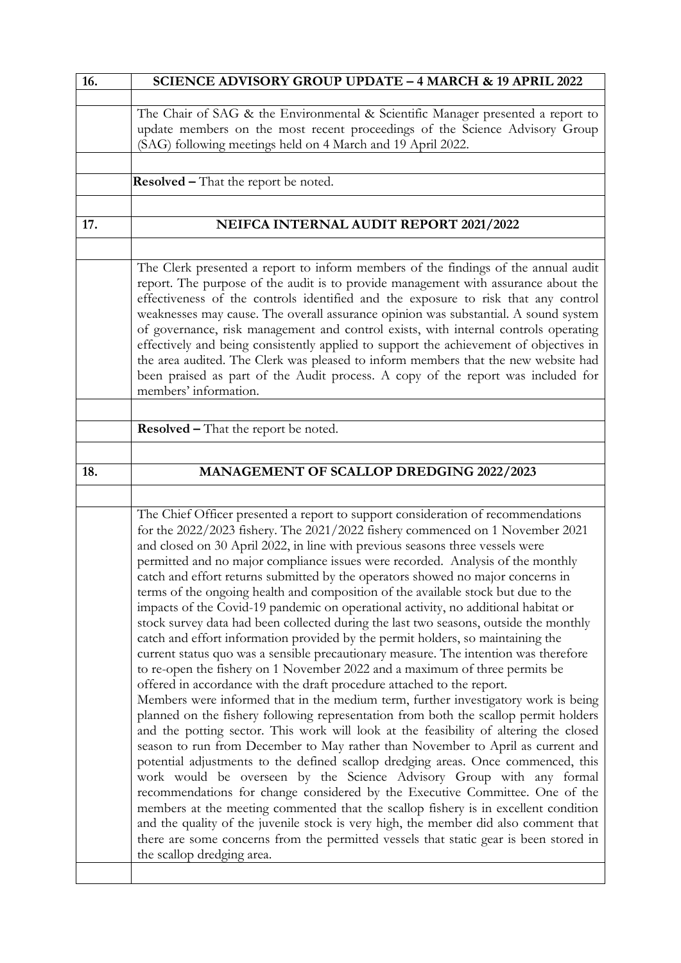| 16. | <b>SCIENCE ADVISORY GROUP UPDATE - 4 MARCH &amp; 19 APRIL 2022</b>                                                                                                                                                                                                                                                                                                                                                                                                                                                                                                                                                                                                                                                                                                                                                                                                                                                                                                                                                                                                                                                                                                                                                                                                                                                                                                                                                                                                                                                                                                                                                                                                                                                                                                                                                                                                                                                                            |
|-----|-----------------------------------------------------------------------------------------------------------------------------------------------------------------------------------------------------------------------------------------------------------------------------------------------------------------------------------------------------------------------------------------------------------------------------------------------------------------------------------------------------------------------------------------------------------------------------------------------------------------------------------------------------------------------------------------------------------------------------------------------------------------------------------------------------------------------------------------------------------------------------------------------------------------------------------------------------------------------------------------------------------------------------------------------------------------------------------------------------------------------------------------------------------------------------------------------------------------------------------------------------------------------------------------------------------------------------------------------------------------------------------------------------------------------------------------------------------------------------------------------------------------------------------------------------------------------------------------------------------------------------------------------------------------------------------------------------------------------------------------------------------------------------------------------------------------------------------------------------------------------------------------------------------------------------------------------|
|     | The Chair of SAG & the Environmental & Scientific Manager presented a report to<br>update members on the most recent proceedings of the Science Advisory Group<br>(SAG) following meetings held on 4 March and 19 April 2022.                                                                                                                                                                                                                                                                                                                                                                                                                                                                                                                                                                                                                                                                                                                                                                                                                                                                                                                                                                                                                                                                                                                                                                                                                                                                                                                                                                                                                                                                                                                                                                                                                                                                                                                 |
|     | <b>Resolved - That the report be noted.</b>                                                                                                                                                                                                                                                                                                                                                                                                                                                                                                                                                                                                                                                                                                                                                                                                                                                                                                                                                                                                                                                                                                                                                                                                                                                                                                                                                                                                                                                                                                                                                                                                                                                                                                                                                                                                                                                                                                   |
|     |                                                                                                                                                                                                                                                                                                                                                                                                                                                                                                                                                                                                                                                                                                                                                                                                                                                                                                                                                                                                                                                                                                                                                                                                                                                                                                                                                                                                                                                                                                                                                                                                                                                                                                                                                                                                                                                                                                                                               |
| 17. | NEIFCA INTERNAL AUDIT REPORT 2021/2022                                                                                                                                                                                                                                                                                                                                                                                                                                                                                                                                                                                                                                                                                                                                                                                                                                                                                                                                                                                                                                                                                                                                                                                                                                                                                                                                                                                                                                                                                                                                                                                                                                                                                                                                                                                                                                                                                                        |
|     |                                                                                                                                                                                                                                                                                                                                                                                                                                                                                                                                                                                                                                                                                                                                                                                                                                                                                                                                                                                                                                                                                                                                                                                                                                                                                                                                                                                                                                                                                                                                                                                                                                                                                                                                                                                                                                                                                                                                               |
|     | The Clerk presented a report to inform members of the findings of the annual audit<br>report. The purpose of the audit is to provide management with assurance about the<br>effectiveness of the controls identified and the exposure to risk that any control<br>weaknesses may cause. The overall assurance opinion was substantial. A sound system<br>of governance, risk management and control exists, with internal controls operating<br>effectively and being consistently applied to support the achievement of objectives in<br>the area audited. The Clerk was pleased to inform members that the new website had<br>been praised as part of the Audit process. A copy of the report was included for<br>members' information.                                                                                                                                                                                                                                                                                                                                                                                                                                                                                                                                                                                                                                                                                                                                                                                                                                                                                                                                                                                                                                                                                                                                                                                                     |
|     |                                                                                                                                                                                                                                                                                                                                                                                                                                                                                                                                                                                                                                                                                                                                                                                                                                                                                                                                                                                                                                                                                                                                                                                                                                                                                                                                                                                                                                                                                                                                                                                                                                                                                                                                                                                                                                                                                                                                               |
|     | <b>Resolved - That the report be noted.</b>                                                                                                                                                                                                                                                                                                                                                                                                                                                                                                                                                                                                                                                                                                                                                                                                                                                                                                                                                                                                                                                                                                                                                                                                                                                                                                                                                                                                                                                                                                                                                                                                                                                                                                                                                                                                                                                                                                   |
| 18. | MANAGEMENT OF SCALLOP DREDGING 2022/2023                                                                                                                                                                                                                                                                                                                                                                                                                                                                                                                                                                                                                                                                                                                                                                                                                                                                                                                                                                                                                                                                                                                                                                                                                                                                                                                                                                                                                                                                                                                                                                                                                                                                                                                                                                                                                                                                                                      |
|     |                                                                                                                                                                                                                                                                                                                                                                                                                                                                                                                                                                                                                                                                                                                                                                                                                                                                                                                                                                                                                                                                                                                                                                                                                                                                                                                                                                                                                                                                                                                                                                                                                                                                                                                                                                                                                                                                                                                                               |
|     | The Chief Officer presented a report to support consideration of recommendations<br>for the 2022/2023 fishery. The 2021/2022 fishery commenced on 1 November 2021<br>and closed on 30 April 2022, in line with previous seasons three vessels were<br>permitted and no major compliance issues were recorded. Analysis of the monthly<br>catch and effort returns submitted by the operators showed no major concerns in<br>terms of the ongoing health and composition of the available stock but due to the<br>impacts of the Covid-19 pandemic on operational activity, no additional habitat or<br>stock survey data had been collected during the last two seasons, outside the monthly<br>catch and effort information provided by the permit holders, so maintaining the<br>current status quo was a sensible precautionary measure. The intention was therefore<br>to re-open the fishery on 1 November 2022 and a maximum of three permits be<br>offered in accordance with the draft procedure attached to the report.<br>Members were informed that in the medium term, further investigatory work is being<br>planned on the fishery following representation from both the scallop permit holders<br>and the potting sector. This work will look at the feasibility of altering the closed<br>season to run from December to May rather than November to April as current and<br>potential adjustments to the defined scallop dredging areas. Once commenced, this<br>work would be overseen by the Science Advisory Group with any formal<br>recommendations for change considered by the Executive Committee. One of the<br>members at the meeting commented that the scallop fishery is in excellent condition<br>and the quality of the juvenile stock is very high, the member did also comment that<br>there are some concerns from the permitted vessels that static gear is been stored in<br>the scallop dredging area. |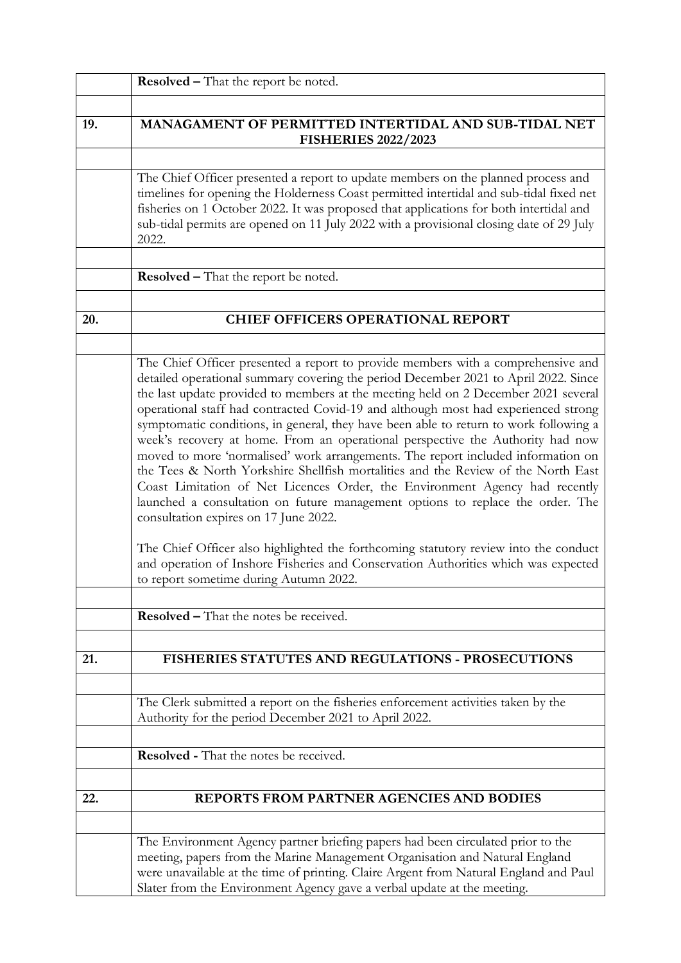|     | Resolved - That the report be noted.                                                                                                                                                                                                                                                                                                                                                                                                                                                                                                                                                                                                                                                                                                                                                                                                                                                                                                                                                                                                                                                                                                      |
|-----|-------------------------------------------------------------------------------------------------------------------------------------------------------------------------------------------------------------------------------------------------------------------------------------------------------------------------------------------------------------------------------------------------------------------------------------------------------------------------------------------------------------------------------------------------------------------------------------------------------------------------------------------------------------------------------------------------------------------------------------------------------------------------------------------------------------------------------------------------------------------------------------------------------------------------------------------------------------------------------------------------------------------------------------------------------------------------------------------------------------------------------------------|
|     |                                                                                                                                                                                                                                                                                                                                                                                                                                                                                                                                                                                                                                                                                                                                                                                                                                                                                                                                                                                                                                                                                                                                           |
| 19. | MANAGAMENT OF PERMITTED INTERTIDAL AND SUB-TIDAL NET<br><b>FISHERIES 2022/2023</b>                                                                                                                                                                                                                                                                                                                                                                                                                                                                                                                                                                                                                                                                                                                                                                                                                                                                                                                                                                                                                                                        |
|     |                                                                                                                                                                                                                                                                                                                                                                                                                                                                                                                                                                                                                                                                                                                                                                                                                                                                                                                                                                                                                                                                                                                                           |
|     | The Chief Officer presented a report to update members on the planned process and<br>timelines for opening the Holderness Coast permitted intertidal and sub-tidal fixed net<br>fisheries on 1 October 2022. It was proposed that applications for both intertidal and<br>sub-tidal permits are opened on 11 July 2022 with a provisional closing date of 29 July<br>2022.                                                                                                                                                                                                                                                                                                                                                                                                                                                                                                                                                                                                                                                                                                                                                                |
|     |                                                                                                                                                                                                                                                                                                                                                                                                                                                                                                                                                                                                                                                                                                                                                                                                                                                                                                                                                                                                                                                                                                                                           |
|     | Resolved - That the report be noted.                                                                                                                                                                                                                                                                                                                                                                                                                                                                                                                                                                                                                                                                                                                                                                                                                                                                                                                                                                                                                                                                                                      |
|     |                                                                                                                                                                                                                                                                                                                                                                                                                                                                                                                                                                                                                                                                                                                                                                                                                                                                                                                                                                                                                                                                                                                                           |
| 20. | <b>CHIEF OFFICERS OPERATIONAL REPORT</b>                                                                                                                                                                                                                                                                                                                                                                                                                                                                                                                                                                                                                                                                                                                                                                                                                                                                                                                                                                                                                                                                                                  |
|     |                                                                                                                                                                                                                                                                                                                                                                                                                                                                                                                                                                                                                                                                                                                                                                                                                                                                                                                                                                                                                                                                                                                                           |
|     | The Chief Officer presented a report to provide members with a comprehensive and<br>detailed operational summary covering the period December 2021 to April 2022. Since<br>the last update provided to members at the meeting held on 2 December 2021 several<br>operational staff had contracted Covid-19 and although most had experienced strong<br>symptomatic conditions, in general, they have been able to return to work following a<br>week's recovery at home. From an operational perspective the Authority had now<br>moved to more 'normalised' work arrangements. The report included information on<br>the Tees & North Yorkshire Shellfish mortalities and the Review of the North East<br>Coast Limitation of Net Licences Order, the Environment Agency had recently<br>launched a consultation on future management options to replace the order. The<br>consultation expires on 17 June 2022.<br>The Chief Officer also highlighted the forthcoming statutory review into the conduct<br>and operation of Inshore Fisheries and Conservation Authorities which was expected<br>to report sometime during Autumn 2022. |
|     |                                                                                                                                                                                                                                                                                                                                                                                                                                                                                                                                                                                                                                                                                                                                                                                                                                                                                                                                                                                                                                                                                                                                           |
|     | <b>Resolved</b> – That the notes be received.                                                                                                                                                                                                                                                                                                                                                                                                                                                                                                                                                                                                                                                                                                                                                                                                                                                                                                                                                                                                                                                                                             |
|     |                                                                                                                                                                                                                                                                                                                                                                                                                                                                                                                                                                                                                                                                                                                                                                                                                                                                                                                                                                                                                                                                                                                                           |
| 21. | <b>FISHERIES STATUTES AND REGULATIONS - PROSECUTIONS</b>                                                                                                                                                                                                                                                                                                                                                                                                                                                                                                                                                                                                                                                                                                                                                                                                                                                                                                                                                                                                                                                                                  |
|     |                                                                                                                                                                                                                                                                                                                                                                                                                                                                                                                                                                                                                                                                                                                                                                                                                                                                                                                                                                                                                                                                                                                                           |
|     | The Clerk submitted a report on the fisheries enforcement activities taken by the                                                                                                                                                                                                                                                                                                                                                                                                                                                                                                                                                                                                                                                                                                                                                                                                                                                                                                                                                                                                                                                         |
|     | Authority for the period December 2021 to April 2022.                                                                                                                                                                                                                                                                                                                                                                                                                                                                                                                                                                                                                                                                                                                                                                                                                                                                                                                                                                                                                                                                                     |
|     |                                                                                                                                                                                                                                                                                                                                                                                                                                                                                                                                                                                                                                                                                                                                                                                                                                                                                                                                                                                                                                                                                                                                           |
|     | <b>Resolved</b> - That the notes be received.                                                                                                                                                                                                                                                                                                                                                                                                                                                                                                                                                                                                                                                                                                                                                                                                                                                                                                                                                                                                                                                                                             |
|     |                                                                                                                                                                                                                                                                                                                                                                                                                                                                                                                                                                                                                                                                                                                                                                                                                                                                                                                                                                                                                                                                                                                                           |
| 22. | <b>REPORTS FROM PARTNER AGENCIES AND BODIES</b>                                                                                                                                                                                                                                                                                                                                                                                                                                                                                                                                                                                                                                                                                                                                                                                                                                                                                                                                                                                                                                                                                           |
|     |                                                                                                                                                                                                                                                                                                                                                                                                                                                                                                                                                                                                                                                                                                                                                                                                                                                                                                                                                                                                                                                                                                                                           |
|     | The Environment Agency partner briefing papers had been circulated prior to the<br>meeting, papers from the Marine Management Organisation and Natural England<br>were unavailable at the time of printing. Claire Argent from Natural England and Paul<br>Slater from the Environment Agency gave a verbal update at the meeting.                                                                                                                                                                                                                                                                                                                                                                                                                                                                                                                                                                                                                                                                                                                                                                                                        |